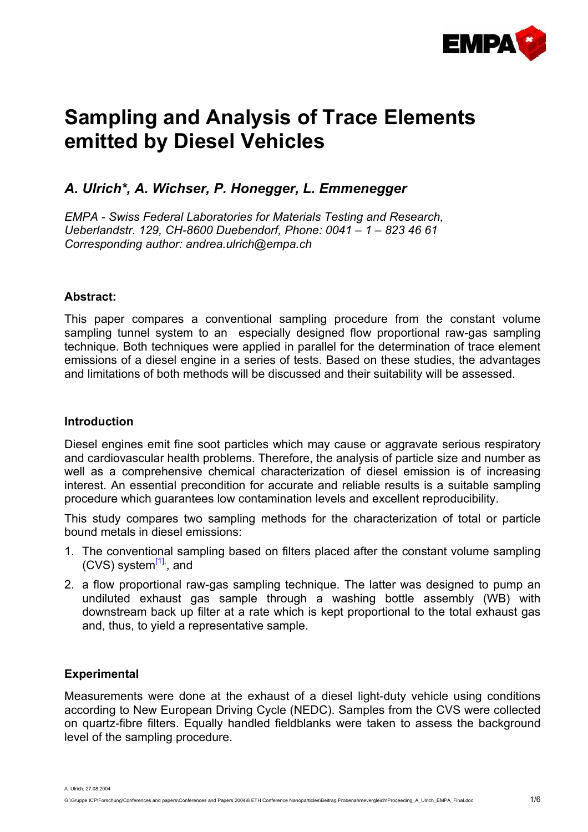

# **Sampling and Analysis of Trace Elements emitted by Diesel Vehicles**

## *A. Ulrich\*, A. Wichser, P. Honegger, L. Emmenegger*

*EMPA - Swiss Federal Laboratories for Materials Testing and Research, Ueberlandstr. 129, CH-8600 Duebendorf, Phone: 0041 – 1 – 823 46 61 Corresponding author: andrea.ulrich@empa.ch* 

#### **Abstract:**

This paper compares a conventional sampling procedure from the constant volume sampling tunnel system to an especially designed flow proportional raw-gas sampling technique. Both techniques were applied in parallel for the determination of trace element emissions of a diesel engine in a series of tests. Based on these studies, the advantages and limitations of both methods will be discussed and their suitability will be assessed.

#### **Introduction**

Diesel engines emit fine soot particles which may cause or aggravate serious respiratory and cardiovascular health problems. Therefore, the analysis of particle size and number as well as a comprehensive chemical characterization of diesel emission is of increasing interest. An essential precondition for accurate and reliable results is a suitable sampling procedure which guarantees low contamination levels and excellent reproducibility.

This study compares two sampling methods for the characterization of total or particle bound metals in diesel emissions:

- 1. The conventional sampling based on filters placed after the constant volume sampling  $(CVS)$  system $^{[1]}$  $^{[1]}$  $^{[1]}$ , and
- 2. a flow proportional raw-gas sampling technique. The latter was designed to pump an undiluted exhaust gas sample through a washing bottle assembly (WB) with downstream back up filter at a rate which is kept proportional to the total exhaust gas and, thus, to yield a representative sample.

### **Experimental**

Measurements were done at the exhaust of a diesel light-duty vehicle using conditions according to New European Driving Cycle (NEDC). Samples from the CVS were collected on quartz-fibre filters. Equally handled fieldblanks were taken to assess the background level of the sampling procedure.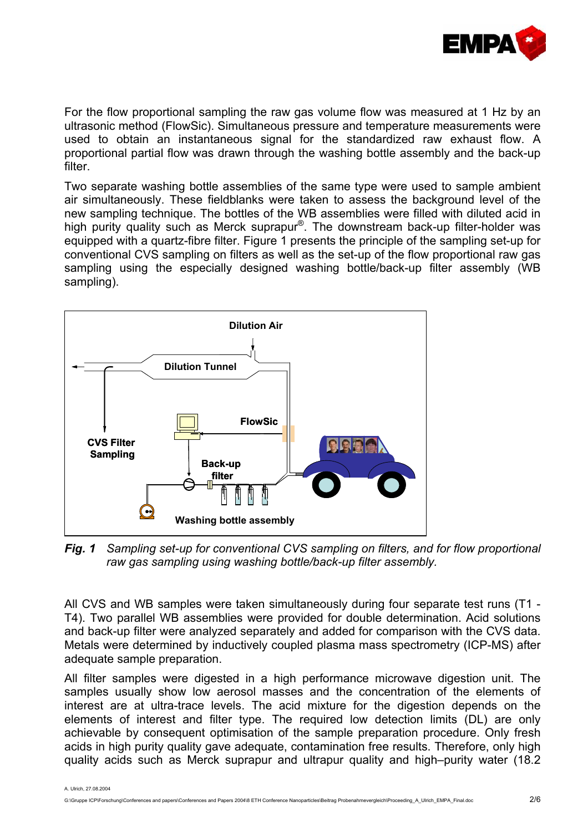

For the flow proportional sampling the raw gas volume flow was measured at 1 Hz by an ultrasonic method (FlowSic). Simultaneous pressure and temperature measurements were used to obtain an instantaneous signal for the standardized raw exhaust flow. A proportional partial flow was drawn through the washing bottle assembly and the back-up filter.

Two separate washing bottle assemblies of the same type were used to sample ambient air simultaneously. These fieldblanks were taken to assess the background level of the new sampling technique. The bottles of the WB assemblies were filled with diluted acid in high purity quality such as Merck suprapur®. The downstream back-up filter-holder was equipped with a quartz-fibre filter. Figure 1 presents the principle of the sampling set-up for conventional CVS sampling on filters as well as the set-up of the flow proportional raw gas sampling using the especially designed washing bottle/back-up filter assembly (WB sampling).



*Fig. 1 Sampling set-up for conventional CVS sampling on filters, and for flow proportional raw gas sampling using washing bottle/back-up filter assembly.* 

All CVS and WB samples were taken simultaneously during four separate test runs (T1 - T4). Two parallel WB assemblies were provided for double determination. Acid solutions and back-up filter were analyzed separately and added for comparison with the CVS data. Metals were determined by inductively coupled plasma mass spectrometry (ICP-MS) after adequate sample preparation.

All filter samples were digested in a high performance microwave digestion unit. The samples usually show low aerosol masses and the concentration of the elements of interest are at ultra-trace levels. The acid mixture for the digestion depends on the elements of interest and filter type. The required low detection limits (DL) are only achievable by consequent optimisation of the sample preparation procedure. Only fresh acids in high purity quality gave adequate, contamination free results. Therefore, only high quality acids such as Merck suprapur and ultrapur quality and high–purity water (18.2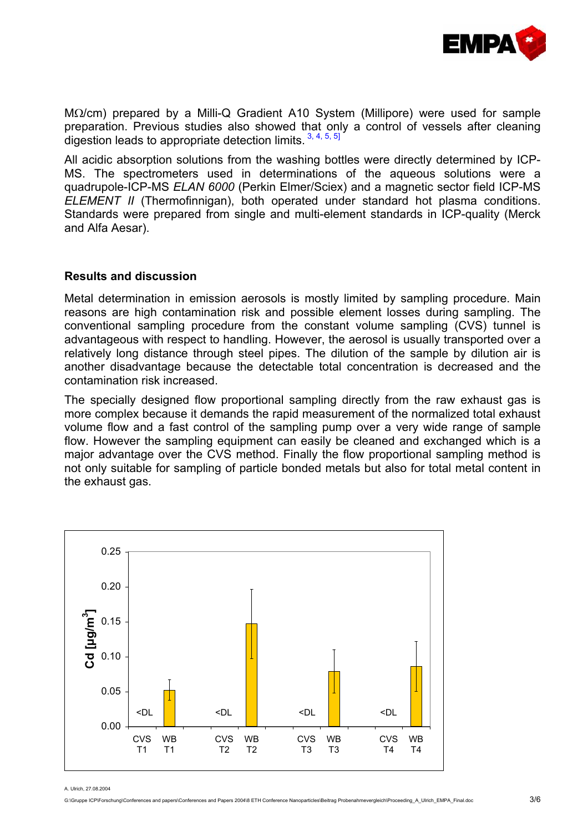

MΩ/cm) prepared by a Milli-Q Gradient A10 System (Millipore) were used for sample preparation. Previous studies also showed that only a control of vessels after cleaning digestion leads to appropriate detection limits.  $3, 4, 5, 5$  $3, 4, 5, 5$  $3, 4, 5, 5$ ]

All acidic absorption solutions from the washing bottles were directly determined by ICP-MS. The spectrometers used in determinations of the aqueous solutions were a quadrupole-ICP-MS *ELAN 6000* (Perkin Elmer/Sciex) and a magnetic sector field ICP-MS *ELEMENT II* (Thermofinnigan), both operated under standard hot plasma conditions. Standards were prepared from single and multi-element standards in ICP-quality (Merck and Alfa Aesar).

#### **Results and discussion**

Metal determination in emission aerosols is mostly limited by sampling procedure. Main reasons are high contamination risk and possible element losses during sampling. The conventional sampling procedure from the constant volume sampling (CVS) tunnel is advantageous with respect to handling. However, the aerosol is usually transported over a relatively long distance through steel pipes. The dilution of the sample by dilution air is another disadvantage because the detectable total concentration is decreased and the contamination risk increased.

The specially designed flow proportional sampling directly from the raw exhaust gas is more complex because it demands the rapid measurement of the normalized total exhaust volume flow and a fast control of the sampling pump over a very wide range of sample flow. However the sampling equipment can easily be cleaned and exchanged which is a major advantage over the CVS method. Finally the flow proportional sampling method is not only suitable for sampling of particle bonded metals but also for total metal content in the exhaust gas.

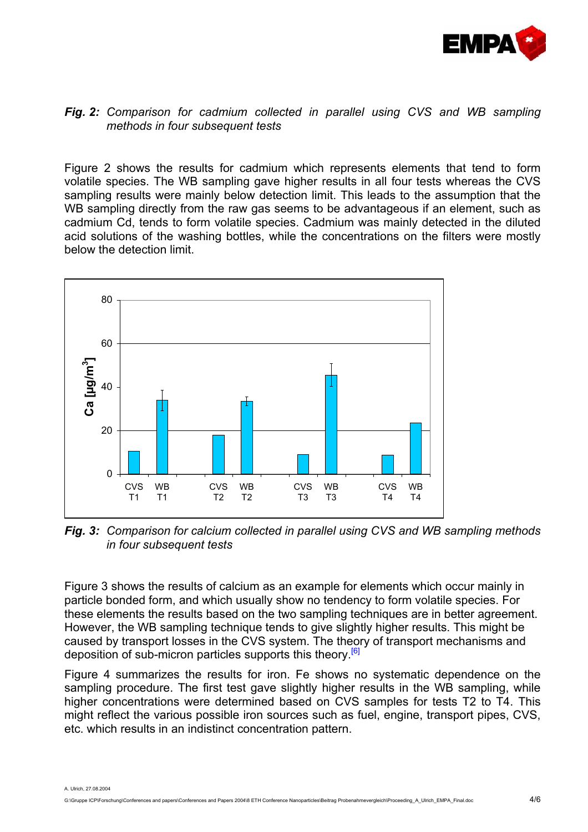

#### *Fig. 2: Comparison for cadmium collected in parallel using CVS and WB sampling methods in four subsequent tests*

Figure 2 shows the results for cadmium which represents elements that tend to form volatile species. The WB sampling gave higher results in all four tests whereas the CVS sampling results were mainly below detection limit. This leads to the assumption that the WB sampling directly from the raw gas seems to be advantageous if an element, such as cadmium Cd, tends to form volatile species. Cadmium was mainly detected in the diluted acid solutions of the washing bottles, while the concentrations on the filters were mostly below the detection limit.



*Fig. 3: Comparison for calcium collected in parallel using CVS and WB sampling methods in four subsequent tests* 

Figure 3 shows the results of calcium as an example for elements which occur mainly in particle bonded form, and which usually show no tendency to form volatile species. For these elements the results based on the two sampling techniques are in better agreement. However, the WB sampling technique tends to give slightly higher results. This might be caused by transport losses in the CVS system. The theory of transport mechanisms and deposition of sub-micron particles supports this theory<sup>[\[6\]](#page-5-4)</sup>

Figure 4 summarizes the results for iron. Fe shows no systematic dependence on the sampling procedure. The first test gave slightly higher results in the WB sampling, while higher concentrations were determined based on CVS samples for tests T2 to T4. This might reflect the various possible iron sources such as fuel, engine, transport pipes, CVS, etc. which results in an indistinct concentration pattern.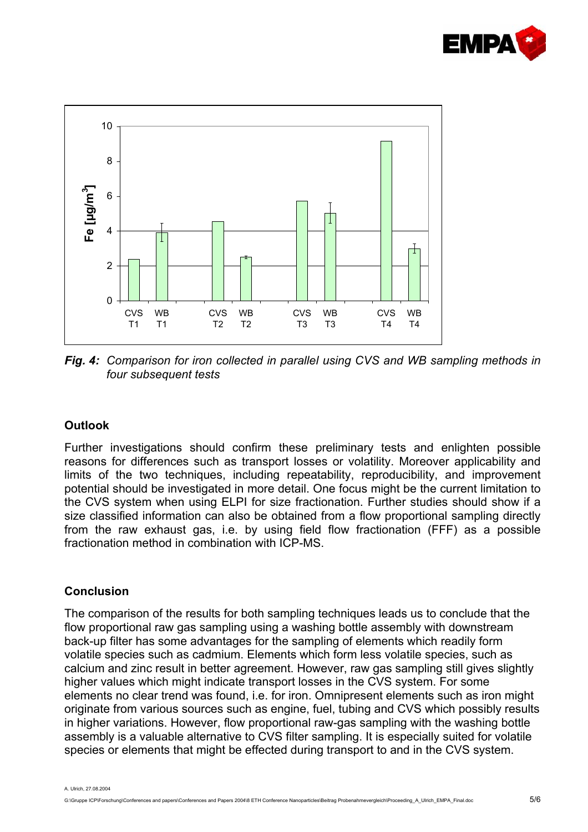



*Fig. 4: Comparison for iron collected in parallel using CVS and WB sampling methods in four subsequent tests* 

#### **Outlook**

Further investigations should confirm these preliminary tests and enlighten possible reasons for differences such as transport losses or volatility. Moreover applicability and limits of the two techniques, including repeatability, reproducibility, and improvement potential should be investigated in more detail. One focus might be the current limitation to the CVS system when using ELPI for size fractionation. Further studies should show if a size classified information can also be obtained from a flow proportional sampling directly from the raw exhaust gas, i.e. by using field flow fractionation (FFF) as a possible fractionation method in combination with ICP-MS.

#### **Conclusion**

The comparison of the results for both sampling techniques leads us to conclude that the flow proportional raw gas sampling using a washing bottle assembly with downstream back-up filter has some advantages for the sampling of elements which readily form volatile species such as cadmium. Elements which form less volatile species, such as calcium and zinc result in better agreement. However, raw gas sampling still gives slightly higher values which might indicate transport losses in the CVS system. For some elements no clear trend was found, i.e. for iron. Omnipresent elements such as iron might originate from various sources such as engine, fuel, tubing and CVS which possibly results in higher variations. However, flow proportional raw-gas sampling with the washing bottle assembly is a valuable alternative to CVS filter sampling. It is especially suited for volatile species or elements that might be effected during transport to and in the CVS system.